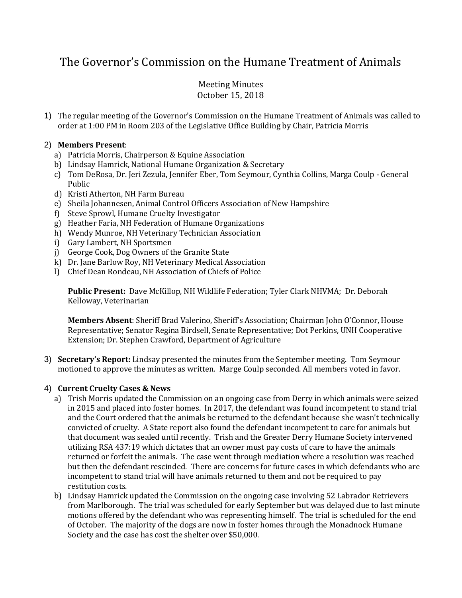# The Governor's Commission on the Humane Treatment of Animals

# Meeting Minutes October 15, 2018

1) The regular meeting of the Governor's Commission on the Humane Treatment of Animals was called to order at 1:00 PM in Room 203 of the Legislative Office Building by Chair, Patricia Morris

# 2) **Members Present**:

- a) Patricia Morris, Chairperson & Equine Association
- b) Lindsay Hamrick, National Humane Organization & Secretary
- c) Tom DeRosa, Dr. Jeri Zezula, Jennifer Eber, Tom Seymour, Cynthia Collins, Marga Coulp General Public
- d) Kristi Atherton, NH Farm Bureau
- e) Sheila Johannesen, Animal Control Officers Association of New Hampshire
- f) Steve Sprowl, Humane Cruelty Investigator
- g) Heather Faria, NH Federation of Humane Organizations
- h) Wendy Munroe, NH Veterinary Technician Association
- i) Gary Lambert, NH Sportsmen
- j) George Cook, Dog Owners of the Granite State
- k) Dr. Jane Barlow Roy, NH Veterinary Medical Association
- l) Chief Dean Rondeau, NH Association of Chiefs of Police

**Public Present:** Dave McKillop, NH Wildlife Federation; Tyler Clark NHVMA; Dr. Deborah Kelloway, Veterinarian

**Members Absent**: Sheriff Brad Valerino, Sheriff's Association; Chairman John O'Connor, House Representative; Senator Regina Birdsell, Senate Representative; Dot Perkins, UNH Cooperative Extension; Dr. Stephen Crawford, Department of Agriculture

3) **Secretary's Report:** Lindsay presented the minutes from the September meeting. Tom Seymour motioned to approve the minutes as written. Marge Coulp seconded. All members voted in favor.

# 4) **Current Cruelty Cases & News**

- a) Trish Morris updated the Commission on an ongoing case from Derry in which animals were seized in 2015 and placed into foster homes. In 2017, the defendant was found incompetent to stand trial and the Court ordered that the animals be returned to the defendant because she wasn't technically convicted of cruelty. A State report also found the defendant incompetent to care for animals but that document was sealed until recently. Trish and the Greater Derry Humane Society intervened utilizing RSA 437:19 which dictates that an owner must pay costs of care to have the animals returned or forfeit the animals. The case went through mediation where a resolution was reached but then the defendant rescinded. There are concerns for future cases in which defendants who are incompetent to stand trial will have animals returned to them and not be required to pay restitution costs.
- b) Lindsay Hamrick updated the Commission on the ongoing case involving 52 Labrador Retrievers from Marlborough. The trial was scheduled for early September but was delayed due to last minute motions offered by the defendant who was representing himself. The trial is scheduled for the end of October. The majority of the dogs are now in foster homes through the Monadnock Humane Society and the case has cost the shelter over \$50,000.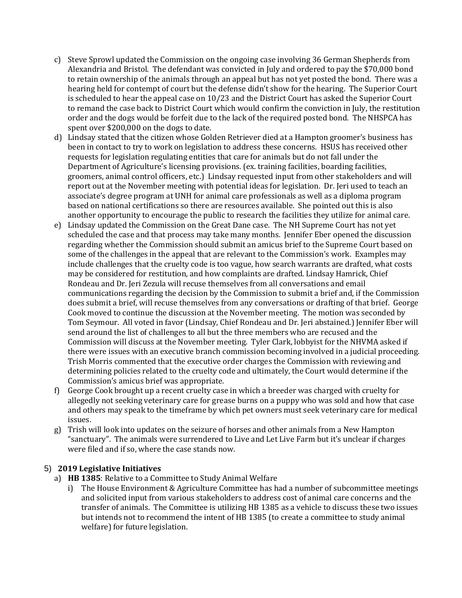- c) Steve Sprowl updated the Commission on the ongoing case involving 36 German Shepherds from Alexandria and Bristol. The defendant was convicted in July and ordered to pay the \$70,000 bond to retain ownership of the animals through an appeal but has not yet posted the bond. There was a hearing held for contempt of court but the defense didn't show for the hearing. The Superior Court is scheduled to hear the appeal case on 10/23 and the District Court has asked the Superior Court to remand the case back to District Court which would confirm the conviction in July, the restitution order and the dogs would be forfeit due to the lack of the required posted bond. The NHSPCA has spent over \$200,000 on the dogs to date.
- d) Lindsay stated that the citizen whose Golden Retriever died at a Hampton groomer's business has been in contact to try to work on legislation to address these concerns. HSUS has received other requests for legislation regulating entities that care for animals but do not fall under the Department of Agriculture's licensing provisions. (ex. training facilities, boarding facilities, groomers, animal control officers, etc.) Lindsay requested input from other stakeholders and will report out at the November meeting with potential ideas for legislation. Dr. Jeri used to teach an associate's degree program at UNH for animal care professionals as well as a diploma program based on national certifications so there are resources available. She pointed out this is also another opportunity to encourage the public to research the facilities they utilize for animal care.
- e) Lindsay updated the Commission on the Great Dane case. The NH Supreme Court has not yet scheduled the case and that process may take many months. Jennifer Eber opened the discussion regarding whether the Commission should submit an amicus brief to the Supreme Court based on some of the challenges in the appeal that are relevant to the Commission's work. Examples may include challenges that the cruelty code is too vague, how search warrants are drafted, what costs may be considered for restitution, and how complaints are drafted. Lindsay Hamrick, Chief Rondeau and Dr. Jeri Zezula will recuse themselves from all conversations and email communications regarding the decision by the Commission to submit a brief and, if the Commission does submit a brief, will recuse themselves from any conversations or drafting of that brief. George Cook moved to continue the discussion at the November meeting. The motion was seconded by Tom Seymour. All voted in favor (Lindsay, Chief Rondeau and Dr. Jeri abstained.) Jennifer Eber will send around the list of challenges to all but the three members who are recused and the Commission will discuss at the November meeting. Tyler Clark, lobbyist for the NHVMA asked if there were issues with an executive branch commission becoming involved in a judicial proceeding. Trish Morris commented that the executive order charges the Commission with reviewing and determining policies related to the cruelty code and ultimately, the Court would determine if the Commission's amicus brief was appropriate.
- f) George Cook brought up a recent cruelty case in which a breeder was charged with cruelty for allegedly not seeking veterinary care for grease burns on a puppy who was sold and how that case and others may speak to the timeframe by which pet owners must seek veterinary care for medical issues.
- g) Trish will look into updates on the seizure of horses and other animals from a New Hampton "sanctuary". The animals were surrendered to Live and Let Live Farm but it's unclear if charges were filed and if so, where the case stands now.

# 5) **2019 Legislative Initiatives**

- a) **HB 1385**: Relative to a Committee to Study Animal Welfare
	- i) The House Environment & Agriculture Committee has had a number of subcommittee meetings and solicited input from various stakeholders to address cost of animal care concerns and the transfer of animals. The Committee is utilizing HB 1385 as a vehicle to discuss these two issues but intends not to recommend the intent of HB 1385 (to create a committee to study animal welfare) for future legislation.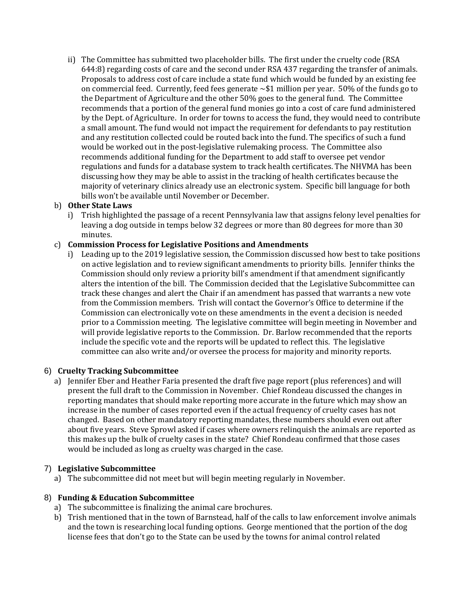ii) The Committee has submitted two placeholder bills. The first under the cruelty code (RSA 644:8) regarding costs of care and the second under RSA 437 regarding the transfer of animals. Proposals to address cost of care include a state fund which would be funded by an existing fee on commercial feed. Currently, feed fees generate  $\sim$  \$1 million per year. 50% of the funds go to the Department of Agriculture and the other 50% goes to the general fund. The Committee recommends that a portion of the general fund monies go into a cost of care fund administered by the Dept. of Agriculture. In order for towns to access the fund, they would need to contribute a small amount. The fund would not impact the requirement for defendants to pay restitution and any restitution collected could be routed back into the fund. The specifics of such a fund would be worked out in the post-legislative rulemaking process. The Committee also recommends additional funding for the Department to add staff to oversee pet vendor regulations and funds for a database system to track health certificates. The NHVMA has been discussing how they may be able to assist in the tracking of health certificates because the majority of veterinary clinics already use an electronic system. Specific bill language for both bills won't be available until November or December.

# b) **Other State Laws**

i) Trish highlighted the passage of a recent Pennsylvania law that assigns felony level penalties for leaving a dog outside in temps below 32 degrees or more than 80 degrees for more than 30 minutes.

# c) **Commission Process for Legislative Positions and Amendments**

i) Leading up to the 2019 legislative session, the Commission discussed how best to take positions on active legislation and to review significant amendments to priority bills. Jennifer thinks the Commission should only review a priority bill's amendment if that amendment significantly alters the intention of the bill. The Commission decided that the Legislative Subcommittee can track these changes and alert the Chair if an amendment has passed that warrants a new vote from the Commission members. Trish will contact the Governor's Office to determine if the Commission can electronically vote on these amendments in the event a decision is needed prior to a Commission meeting. The legislative committee will begin meeting in November and will provide legislative reports to the Commission. Dr. Barlow recommended that the reports include the specific vote and the reports will be updated to reflect this. The legislative committee can also write and/or oversee the process for majority and minority reports.

# 6) **Cruelty Tracking Subcommittee**

a) Jennifer Eber and Heather Faria presented the draft five page report (plus references) and will present the full draft to the Commission in November. Chief Rondeau discussed the changes in reporting mandates that should make reporting more accurate in the future which may show an increase in the number of cases reported even if the actual frequency of cruelty cases has not changed. Based on other mandatory reporting mandates, these numbers should even out after about five years. Steve Sprowl asked if cases where owners relinquish the animals are reported as this makes up the bulk of cruelty cases in the state? Chief Rondeau confirmed that those cases would be included as long as cruelty was charged in the case.

# 7) **Legislative Subcommittee**

a) The subcommittee did not meet but will begin meeting regularly in November.

#### 8) **Funding & Education Subcommittee**

- a) The subcommittee is finalizing the animal care brochures.
- b) Trish mentioned that in the town of Barnstead, half of the calls to law enforcement involve animals and the town is researching local funding options. George mentioned that the portion of the dog license fees that don't go to the State can be used by the towns for animal control related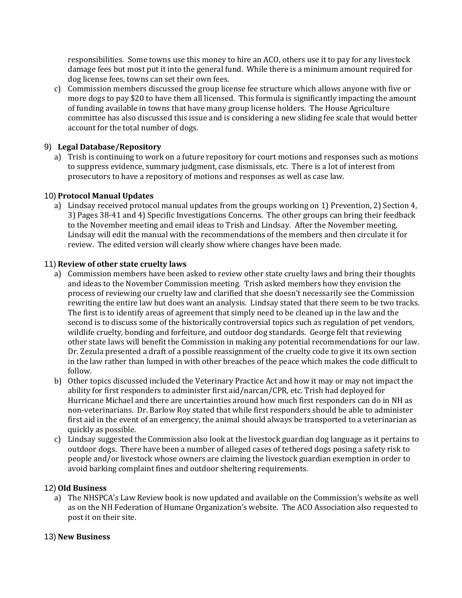responsibilities. Some towns use this money to hire an ACO, others use it to pay for any livestock damage fees but most put it into the general fund. While there is a minimum amount required for dog license fees, towns can set their own fees.

c) Commission members discussed the group license fee structure which allows anyone with five or more dogs to pay \$20 to have them all licensed. This formula is significantly impacting the amount of funding available in towns that have many group license holders. The House Agriculture committee has also discussed this issue and is considering a new sliding fee scale that would better account for the total number of dogs.

# 9) **Legal Database/Repository**

a) Trish is continuing to work on a future repository for court motions and responses such as motions to suppress evidence, summary judgment, case dismissals, etc. There is a lot of interest from prosecutors to have a repository of motions and responses as well as case law.

# 10) **Protocol Manual Updates**

a) Lindsay received protocol manual updates from the groups working on 1) Prevention, 2) Section 4, 3) Pages 38-41 and 4) Specific Investigations Concerns. The other groups can bring their feedback to the November meeting and email ideas to Trish and Lindsay. After the November meeting, Lindsay will edit the manual with the recommendations of the members and then circulate it for review. The edited version will clearly show where changes have been made.

# 11) **Review of other state cruelty laws**

- a) Commission members have been asked to review other state cruelty laws and bring their thoughts and ideas to the November Commission meeting. Trish asked members how they envision the process of reviewing our cruelty law and clarified that she doesn't necessarily see the Commission rewriting the entire law but does want an analysis. Lindsay stated that there seem to be two tracks. The first is to identify areas of agreement that simply need to be cleaned up in the law and the second is to discuss some of the historically controversial topics such as regulation of pet vendors, wildlife cruelty, bonding and forfeiture, and outdoor dog standards. George felt that reviewing other state laws will benefit the Commission in making any potential recommendations for our law. Dr. Zezula presented a draft of a possible reassignment of the cruelty code to give it its own section in the law rather than lumped in with other breaches of the peace which makes the code difficult to follow.
- b) Other topics discussed included the Veterinary Practice Act and how it may or may not impact the ability for first responders to administer first aid/narcan/CPR, etc. Trish had deployed for Hurricane Michael and there are uncertainties around how much first responders can do in NH as non-veterinarians. Dr. Barlow Roy stated that while first responders should be able to administer first aid in the event of an emergency, the animal should always be transported to a veterinarian as quickly as possible.
- c) Lindsay suggested the Commission also look at the livestock guardian dog language as it pertains to outdoor dogs. There have been a number of alleged cases of tethered dogs posing a safety risk to people and/or livestock whose owners are claiming the livestock guardian exemption in order to avoid barking complaint fines and outdoor sheltering requirements.

# 12) **Old Business**

a) The NHSPCA's Law Review book is now updated and available on the Commission's website as well as on the NH Federation of Humane Organization's website. The ACO Association also requested to post it on their site.

# 13) **New Business**